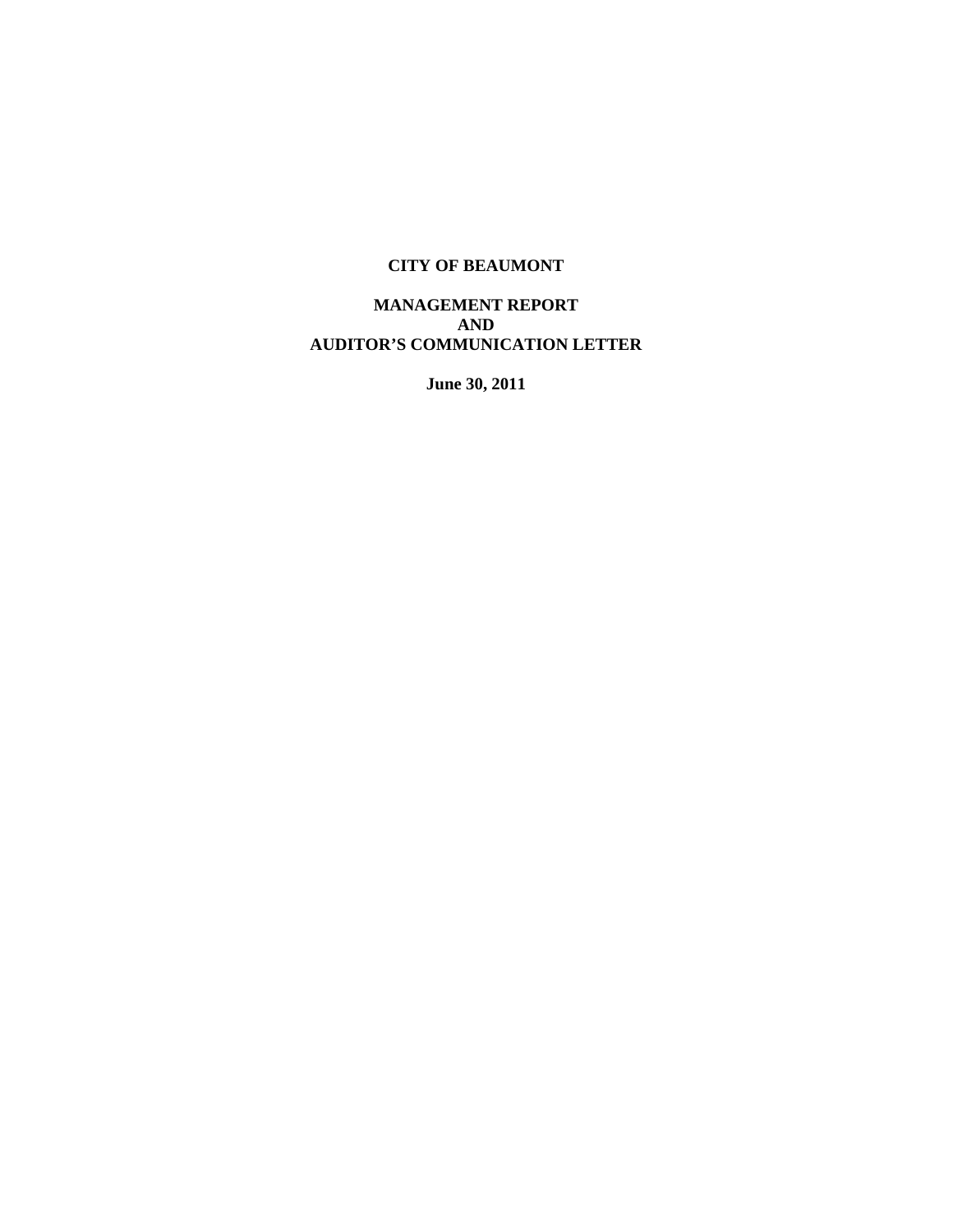# **CITY OF BEAUMONT**

# **MANAGEMENT REPORT AND AUDITOR'S COMMUNICATION LETTER**

**June 30, 2011**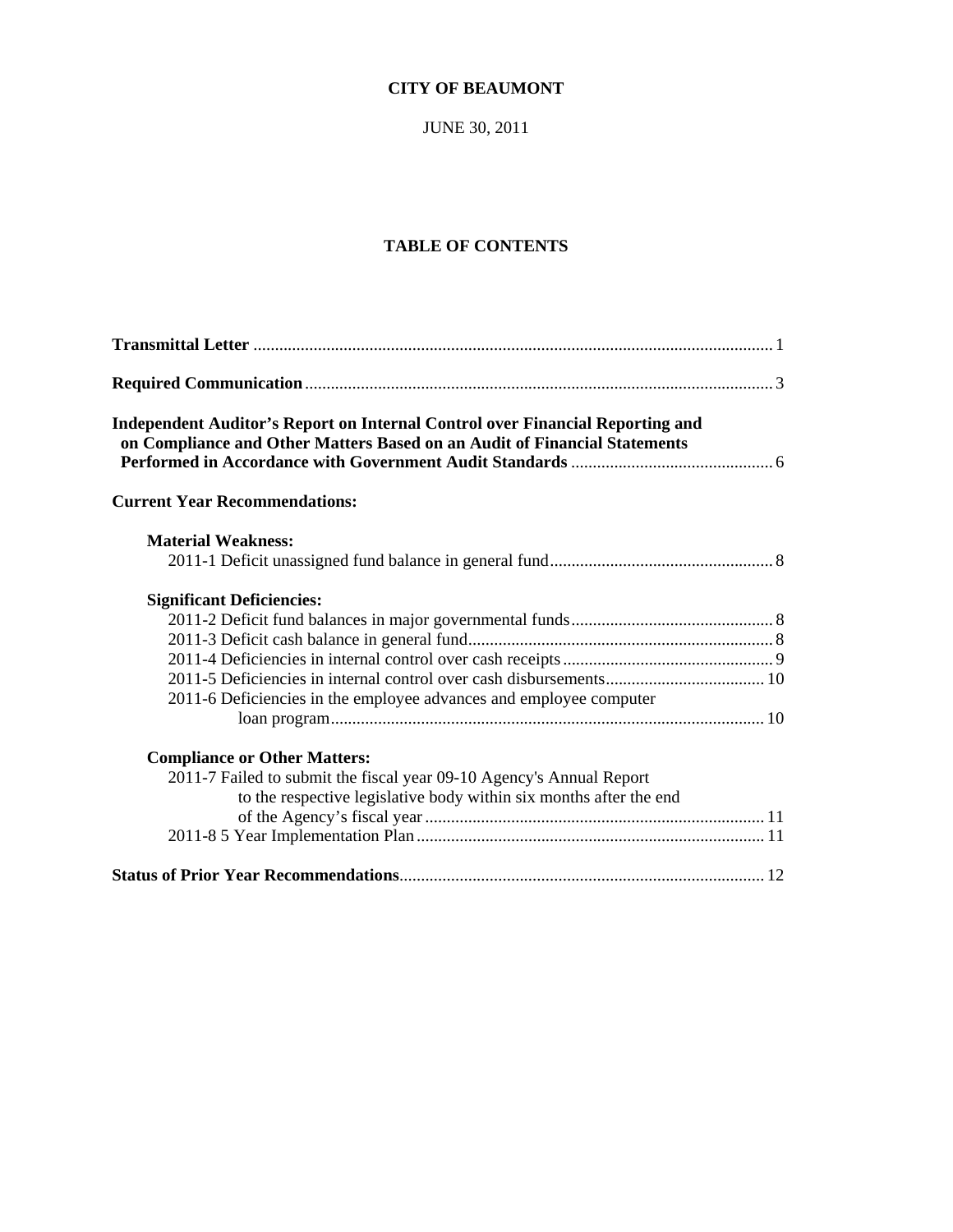# **CITY OF BEAUMONT**

JUNE 30, 2011

# **TABLE OF CONTENTS**

| <b>Independent Auditor's Report on Internal Control over Financial Reporting and</b><br>on Compliance and Other Matters Based on an Audit of Financial Statements |
|-------------------------------------------------------------------------------------------------------------------------------------------------------------------|
| <b>Current Year Recommendations:</b>                                                                                                                              |
| <b>Material Weakness:</b>                                                                                                                                         |
|                                                                                                                                                                   |
| <b>Significant Deficiencies:</b>                                                                                                                                  |
|                                                                                                                                                                   |
|                                                                                                                                                                   |
|                                                                                                                                                                   |
|                                                                                                                                                                   |
| 2011-6 Deficiencies in the employee advances and employee computer                                                                                                |
|                                                                                                                                                                   |
| <b>Compliance or Other Matters:</b>                                                                                                                               |
| 2011-7 Failed to submit the fiscal year 09-10 Agency's Annual Report                                                                                              |
| to the respective legislative body within six months after the end                                                                                                |
|                                                                                                                                                                   |
|                                                                                                                                                                   |
|                                                                                                                                                                   |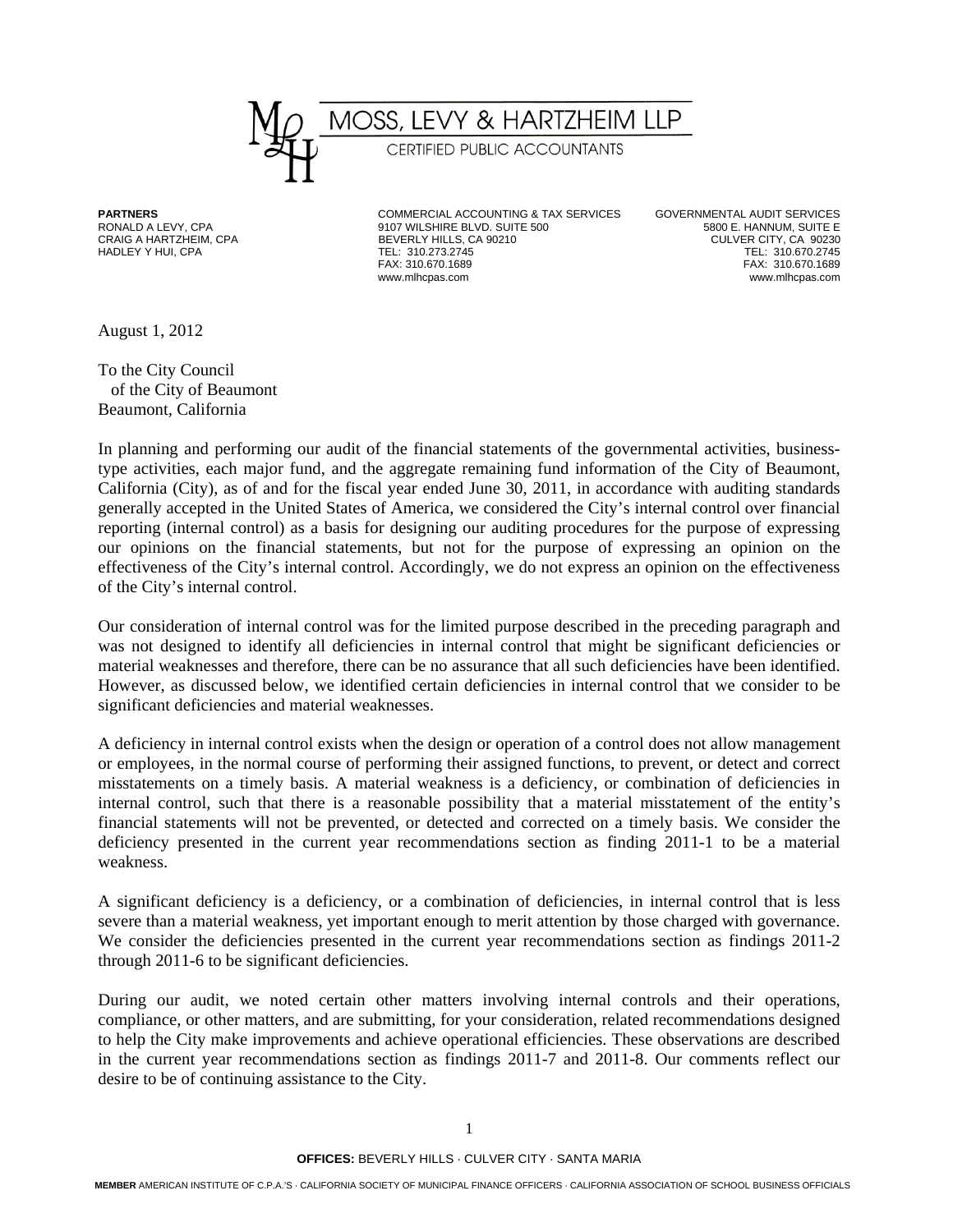MOSS, LEVY & HARTZHEIM LLP CERTIFIED PUBLIC ACCOUNTANTS

**PARTNERS** 

**PARTNERS** COMMERCIAL ACCOUNTING & TAX SERVICES GOVERNMENTAL AUDIT SERVICES 9107 WILSHIRE BLVD. SUITE 500<br>BEVERLY HILLS, CA 90210 SUITE 500 5800 E. HANNUM, SUITE E CRAIG A HARTZHEIM, CPA BEVERLY HILLS, CA 90210 CULVER CITY, CA 90230 HADLEY Y HUI, CPA TEL: 310.273.2745<br>FAX: 310.670.1689

 FAX: 310.670.1689 FAX: 310.670.1689 www.mlhcpas.com www.mlhcpas.com

August 1, 2012

To the City Council of the City of Beaumont Beaumont, California

In planning and performing our audit of the financial statements of the governmental activities, businesstype activities, each major fund, and the aggregate remaining fund information of the City of Beaumont, California (City), as of and for the fiscal year ended June 30, 2011, in accordance with auditing standards generally accepted in the United States of America, we considered the City's internal control over financial reporting (internal control) as a basis for designing our auditing procedures for the purpose of expressing our opinions on the financial statements, but not for the purpose of expressing an opinion on the effectiveness of the City's internal control. Accordingly, we do not express an opinion on the effectiveness of the City's internal control.

Our consideration of internal control was for the limited purpose described in the preceding paragraph and was not designed to identify all deficiencies in internal control that might be significant deficiencies or material weaknesses and therefore, there can be no assurance that all such deficiencies have been identified. However, as discussed below, we identified certain deficiencies in internal control that we consider to be significant deficiencies and material weaknesses.

A deficiency in internal control exists when the design or operation of a control does not allow management or employees, in the normal course of performing their assigned functions, to prevent, or detect and correct misstatements on a timely basis. A material weakness is a deficiency, or combination of deficiencies in internal control, such that there is a reasonable possibility that a material misstatement of the entity's financial statements will not be prevented, or detected and corrected on a timely basis. We consider the deficiency presented in the current year recommendations section as finding 2011-1 to be a material weakness.

A significant deficiency is a deficiency, or a combination of deficiencies, in internal control that is less severe than a material weakness, yet important enough to merit attention by those charged with governance. We consider the deficiencies presented in the current year recommendations section as findings 2011-2 through 2011-6 to be significant deficiencies.

During our audit, we noted certain other matters involving internal controls and their operations, compliance, or other matters, and are submitting, for your consideration, related recommendations designed to help the City make improvements and achieve operational efficiencies. These observations are described in the current year recommendations section as findings 2011-7 and 2011-8. Our comments reflect our desire to be of continuing assistance to the City.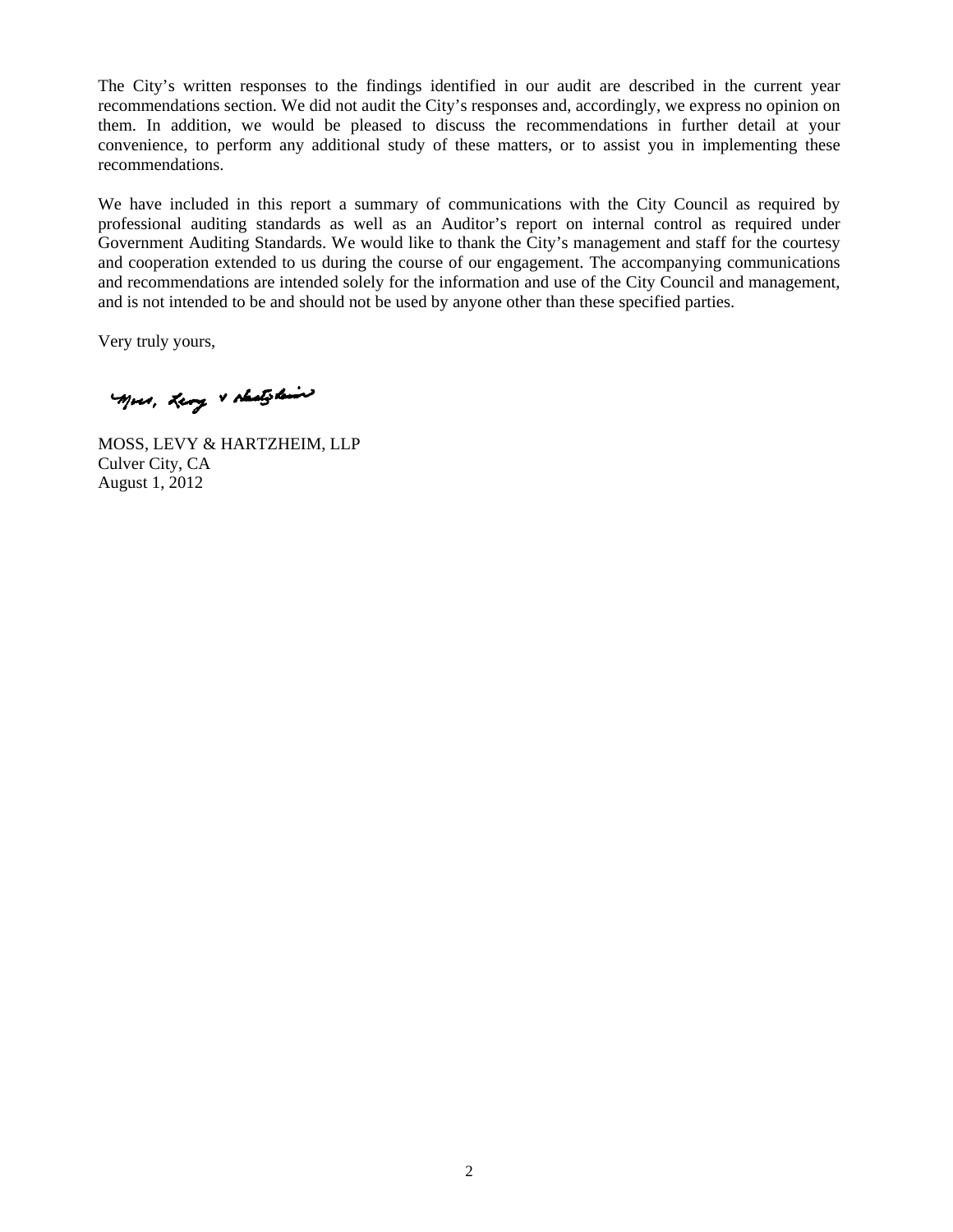The City's written responses to the findings identified in our audit are described in the current year recommendations section. We did not audit the City's responses and, accordingly, we express no opinion on them. In addition, we would be pleased to discuss the recommendations in further detail at your convenience, to perform any additional study of these matters, or to assist you in implementing these recommendations.

We have included in this report a summary of communications with the City Council as required by professional auditing standards as well as an Auditor's report on internal control as required under Government Auditing Standards. We would like to thank the City's management and staff for the courtesy and cooperation extended to us during the course of our engagement. The accompanying communications and recommendations are intended solely for the information and use of the City Council and management, and is not intended to be and should not be used by anyone other than these specified parties.

Very truly yours,

Mores, Leary & Analystain

MOSS, LEVY & HARTZHEIM, LLP Culver City, CA August 1, 2012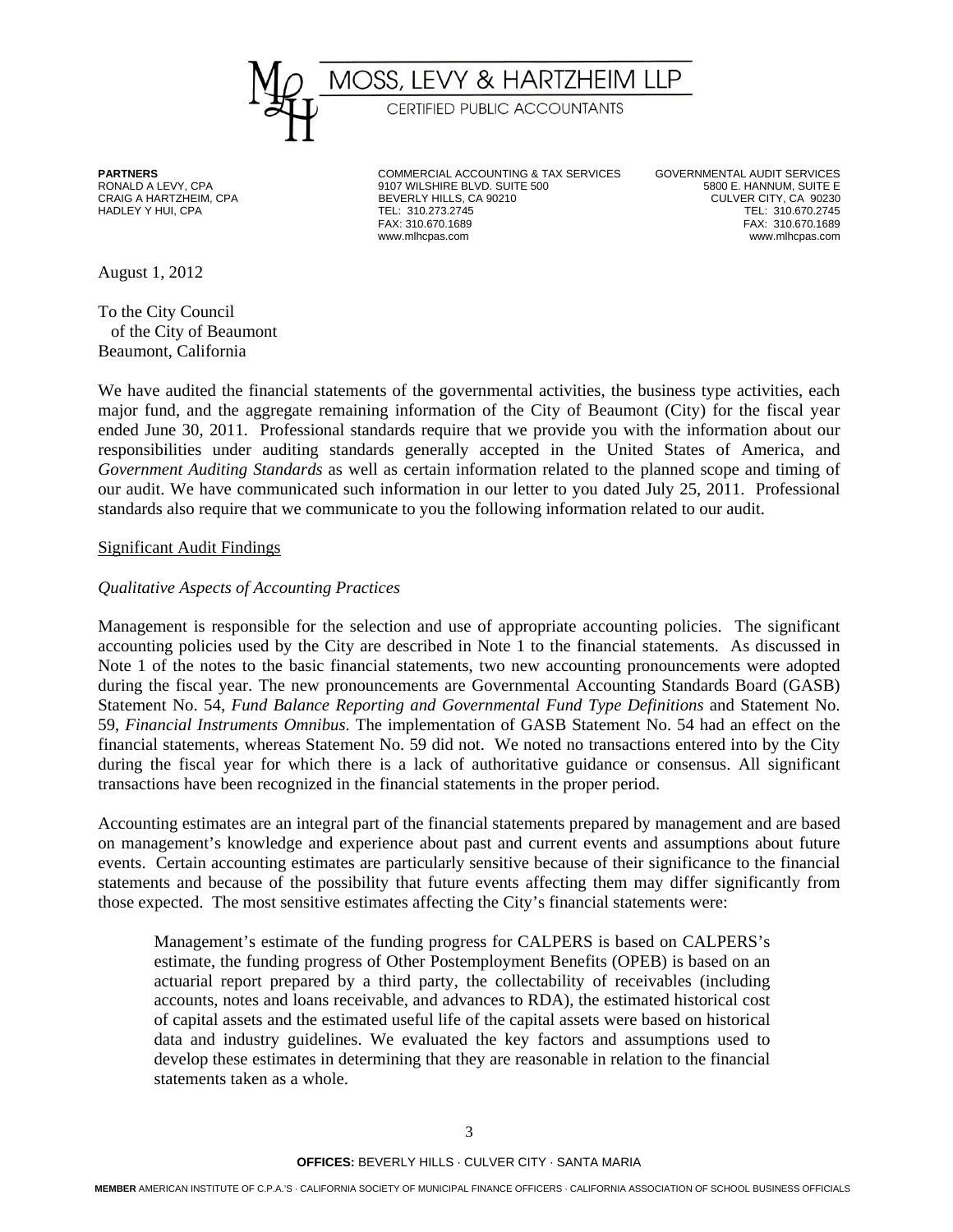

**PARTNERS** 

**PARTNERS** COMMERCIAL ACCOUNTING & TAX SERVICES GOVERNMENTAL AUDIT SERVICES PORT A LEVIS AND STATE SOUTH A LEVEL A LEVEL AND STATE SOUTH A LEVEL AND SUITE ENDING SUITE SOUTH SUITE SOUTH<br>BEVERLY HILLS, CA 90210 CRAIG A HARTZHEIM, CPA BEVERLY HILLS, CA 90210 CULVER CITY, CA 90230 HADLEY Y HUI, CPA TEL: 310.273.2745<br>
FAX: 310.670.2745<br>
FAX: 310.670.1689 FAX: 310.670.1689 FAX: 310.670.1689 FAX: 310.670.1689 FAX: 310.670.1689 www.mlhcpas.com www.mlhcpas.com example www.mlhcpas.com

August 1, 2012

To the City Council of the City of Beaumont Beaumont, California

We have audited the financial statements of the governmental activities, the business type activities, each major fund, and the aggregate remaining information of the City of Beaumont (City) for the fiscal year ended June 30, 2011. Professional standards require that we provide you with the information about our responsibilities under auditing standards generally accepted in the United States of America, and *Government Auditing Standards* as well as certain information related to the planned scope and timing of our audit. We have communicated such information in our letter to you dated July 25, 2011. Professional standards also require that we communicate to you the following information related to our audit.

# Significant Audit Findings

# *Qualitative Aspects of Accounting Practices*

Management is responsible for the selection and use of appropriate accounting policies. The significant accounting policies used by the City are described in Note 1 to the financial statements. As discussed in Note 1 of the notes to the basic financial statements, two new accounting pronouncements were adopted during the fiscal year. The new pronouncements are Governmental Accounting Standards Board (GASB) Statement No. 54, *Fund Balance Reporting and Governmental Fund Type Definitions* and Statement No. 59, *Financial Instruments Omnibus*. The implementation of GASB Statement No. 54 had an effect on the financial statements, whereas Statement No. 59 did not. We noted no transactions entered into by the City during the fiscal year for which there is a lack of authoritative guidance or consensus. All significant transactions have been recognized in the financial statements in the proper period.

Accounting estimates are an integral part of the financial statements prepared by management and are based on management's knowledge and experience about past and current events and assumptions about future events. Certain accounting estimates are particularly sensitive because of their significance to the financial statements and because of the possibility that future events affecting them may differ significantly from those expected. The most sensitive estimates affecting the City's financial statements were:

Management's estimate of the funding progress for CALPERS is based on CALPERS's estimate, the funding progress of Other Postemployment Benefits (OPEB) is based on an actuarial report prepared by a third party, the collectability of receivables (including accounts, notes and loans receivable, and advances to RDA), the estimated historical cost of capital assets and the estimated useful life of the capital assets were based on historical data and industry guidelines. We evaluated the key factors and assumptions used to develop these estimates in determining that they are reasonable in relation to the financial statements taken as a whole.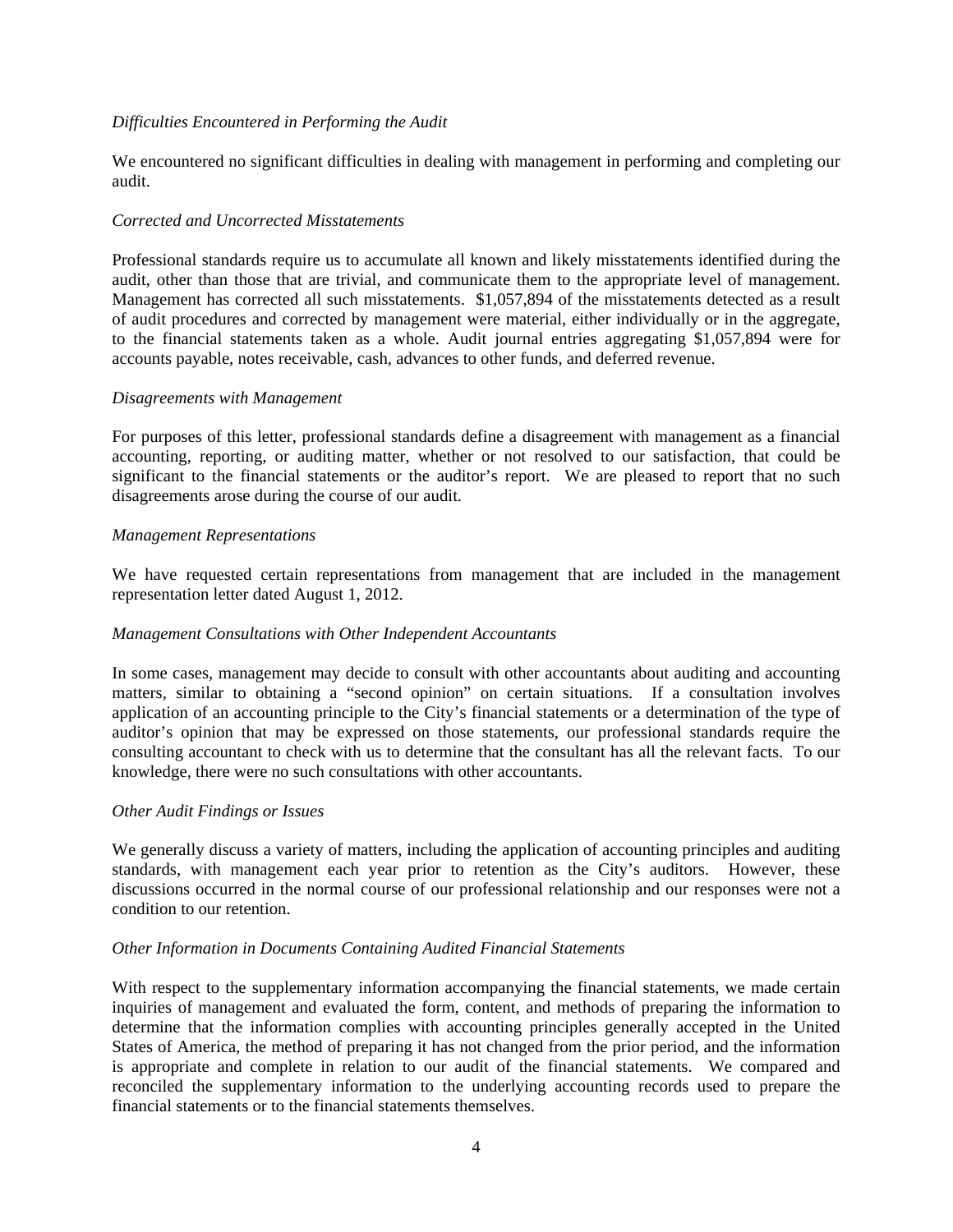# *Difficulties Encountered in Performing the Audit*

We encountered no significant difficulties in dealing with management in performing and completing our audit.

# *Corrected and Uncorrected Misstatements*

Professional standards require us to accumulate all known and likely misstatements identified during the audit, other than those that are trivial, and communicate them to the appropriate level of management. Management has corrected all such misstatements. \$1,057,894 of the misstatements detected as a result of audit procedures and corrected by management were material, either individually or in the aggregate, to the financial statements taken as a whole. Audit journal entries aggregating \$1,057,894 were for accounts payable, notes receivable, cash, advances to other funds, and deferred revenue.

# *Disagreements with Management*

For purposes of this letter, professional standards define a disagreement with management as a financial accounting, reporting, or auditing matter, whether or not resolved to our satisfaction, that could be significant to the financial statements or the auditor's report. We are pleased to report that no such disagreements arose during the course of our audit.

# *Management Representations*

We have requested certain representations from management that are included in the management representation letter dated August 1, 2012.

#### *Management Consultations with Other Independent Accountants*

In some cases, management may decide to consult with other accountants about auditing and accounting matters, similar to obtaining a "second opinion" on certain situations. If a consultation involves application of an accounting principle to the City's financial statements or a determination of the type of auditor's opinion that may be expressed on those statements, our professional standards require the consulting accountant to check with us to determine that the consultant has all the relevant facts. To our knowledge, there were no such consultations with other accountants.

#### *Other Audit Findings or Issues*

We generally discuss a variety of matters, including the application of accounting principles and auditing standards, with management each year prior to retention as the City's auditors. However, these discussions occurred in the normal course of our professional relationship and our responses were not a condition to our retention.

#### *Other Information in Documents Containing Audited Financial Statements*

With respect to the supplementary information accompanying the financial statements, we made certain inquiries of management and evaluated the form, content, and methods of preparing the information to determine that the information complies with accounting principles generally accepted in the United States of America, the method of preparing it has not changed from the prior period, and the information is appropriate and complete in relation to our audit of the financial statements. We compared and reconciled the supplementary information to the underlying accounting records used to prepare the financial statements or to the financial statements themselves.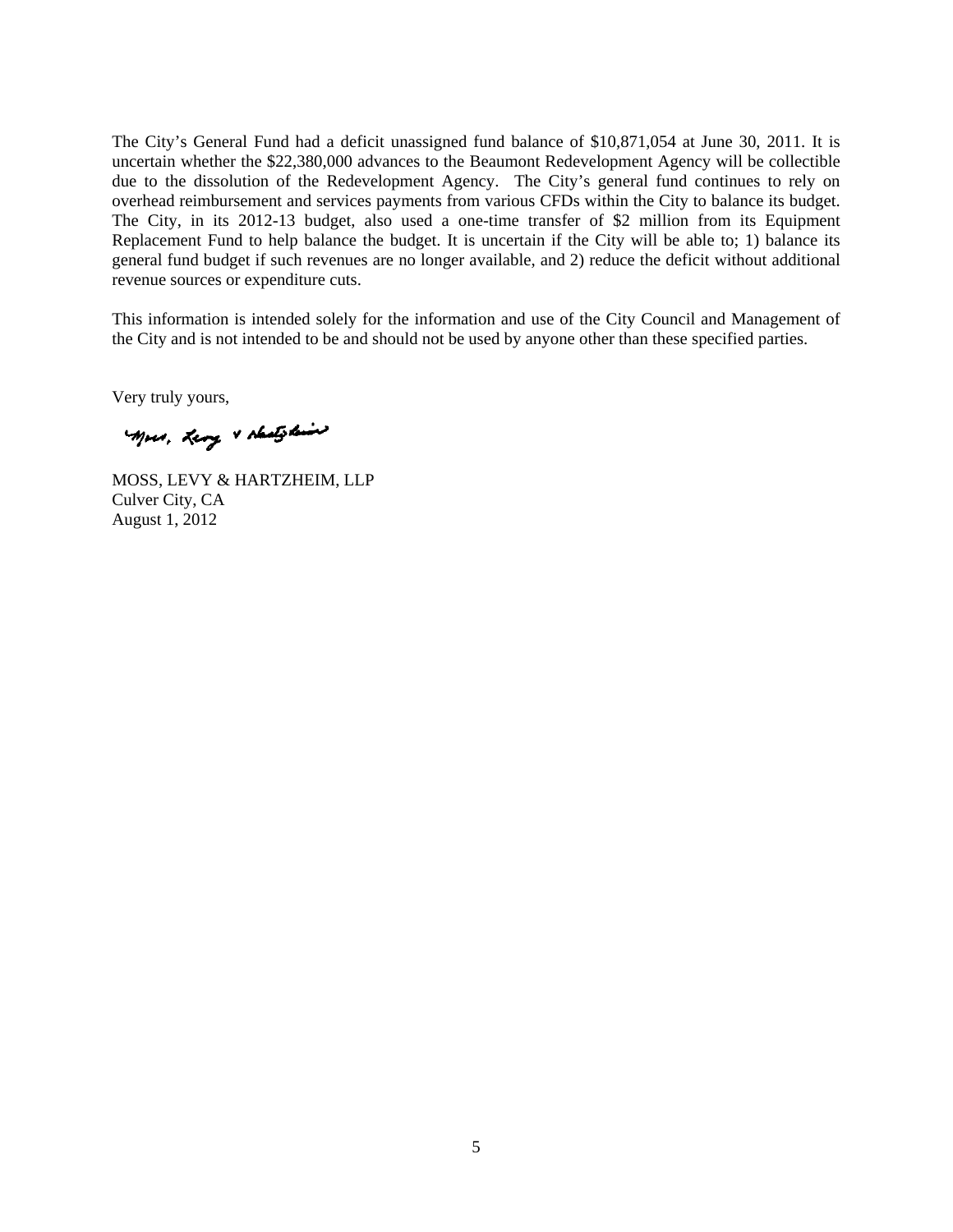The City's General Fund had a deficit unassigned fund balance of \$10,871,054 at June 30, 2011. It is uncertain whether the \$22,380,000 advances to the Beaumont Redevelopment Agency will be collectible due to the dissolution of the Redevelopment Agency. The City's general fund continues to rely on overhead reimbursement and services payments from various CFDs within the City to balance its budget. The City, in its 2012-13 budget, also used a one-time transfer of \$2 million from its Equipment Replacement Fund to help balance the budget. It is uncertain if the City will be able to; 1) balance its general fund budget if such revenues are no longer available, and 2) reduce the deficit without additional revenue sources or expenditure cuts.

This information is intended solely for the information and use of the City Council and Management of the City and is not intended to be and should not be used by anyone other than these specified parties.

Very truly yours,

Mores, Leary & Australia

MOSS, LEVY & HARTZHEIM, LLP Culver City, CA August 1, 2012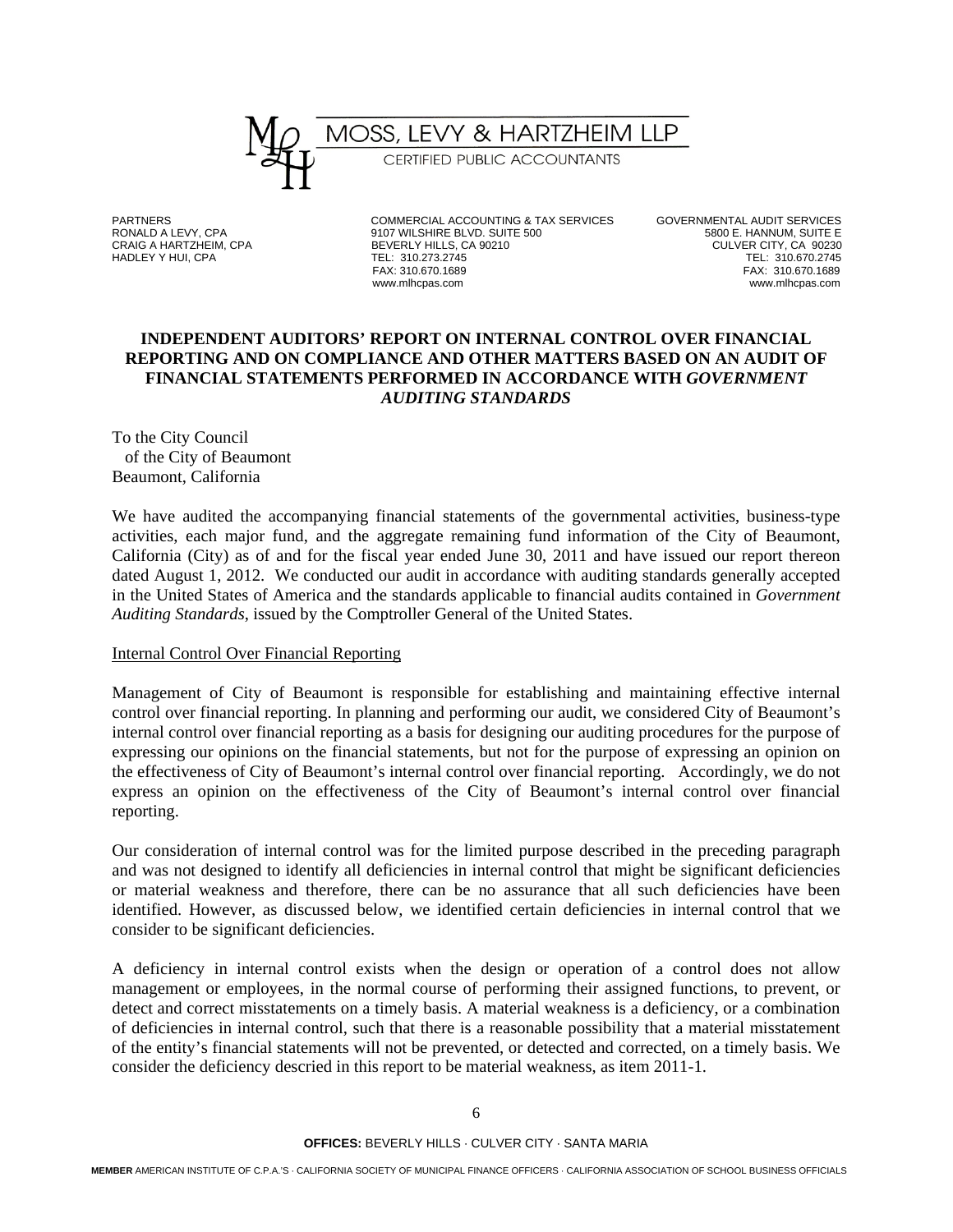MOSS, LEVY & HARTZHEIM LLP CERTIFIED PUBLIC ACCOUNTANTS

PARTNERS COMMERCIAL ACCOUNTING & TAX SERVICES GOVERNMENTAL AUDIT SERVICES RONALD A LEVY, CPA 9107 WILSHIRE BLVD. SUITE 500 5800 E. HANNUM, SUITE E BEVERLY HILLS, CA 90210 CULVER CITY, CA 90230<br>TEL: 310.273.2745 TEL: 10.670.2745 HADLEY Y HUI, CPA TEL: 310.273.2745<br>FAX: 310.670.1689 www.mlhcpas.com

FAX: 310.670.1689 FAX: 310.670.1689

# **INDEPENDENT AUDITORS' REPORT ON INTERNAL CONTROL OVER FINANCIAL REPORTING AND ON COMPLIANCE AND OTHER MATTERS BASED ON AN AUDIT OF FINANCIAL STATEMENTS PERFORMED IN ACCORDANCE WITH** *GOVERNMENT AUDITING STANDARDS*

To the City Council of the City of Beaumont Beaumont, California

We have audited the accompanying financial statements of the governmental activities, business-type activities, each major fund, and the aggregate remaining fund information of the City of Beaumont, California (City) as of and for the fiscal year ended June 30, 2011 and have issued our report thereon dated August 1, 2012. We conducted our audit in accordance with auditing standards generally accepted in the United States of America and the standards applicable to financial audits contained in *Government Auditing Standards*, issued by the Comptroller General of the United States.

#### Internal Control Over Financial Reporting

Management of City of Beaumont is responsible for establishing and maintaining effective internal control over financial reporting. In planning and performing our audit, we considered City of Beaumont's internal control over financial reporting as a basis for designing our auditing procedures for the purpose of expressing our opinions on the financial statements, but not for the purpose of expressing an opinion on the effectiveness of City of Beaumont's internal control over financial reporting. Accordingly, we do not express an opinion on the effectiveness of the City of Beaumont's internal control over financial reporting.

Our consideration of internal control was for the limited purpose described in the preceding paragraph and was not designed to identify all deficiencies in internal control that might be significant deficiencies or material weakness and therefore, there can be no assurance that all such deficiencies have been identified. However, as discussed below, we identified certain deficiencies in internal control that we consider to be significant deficiencies.

A deficiency in internal control exists when the design or operation of a control does not allow management or employees, in the normal course of performing their assigned functions, to prevent, or detect and correct misstatements on a timely basis. A material weakness is a deficiency, or a combination of deficiencies in internal control, such that there is a reasonable possibility that a material misstatement of the entity's financial statements will not be prevented, or detected and corrected, on a timely basis. We consider the deficiency descried in this report to be material weakness, as item 2011-1.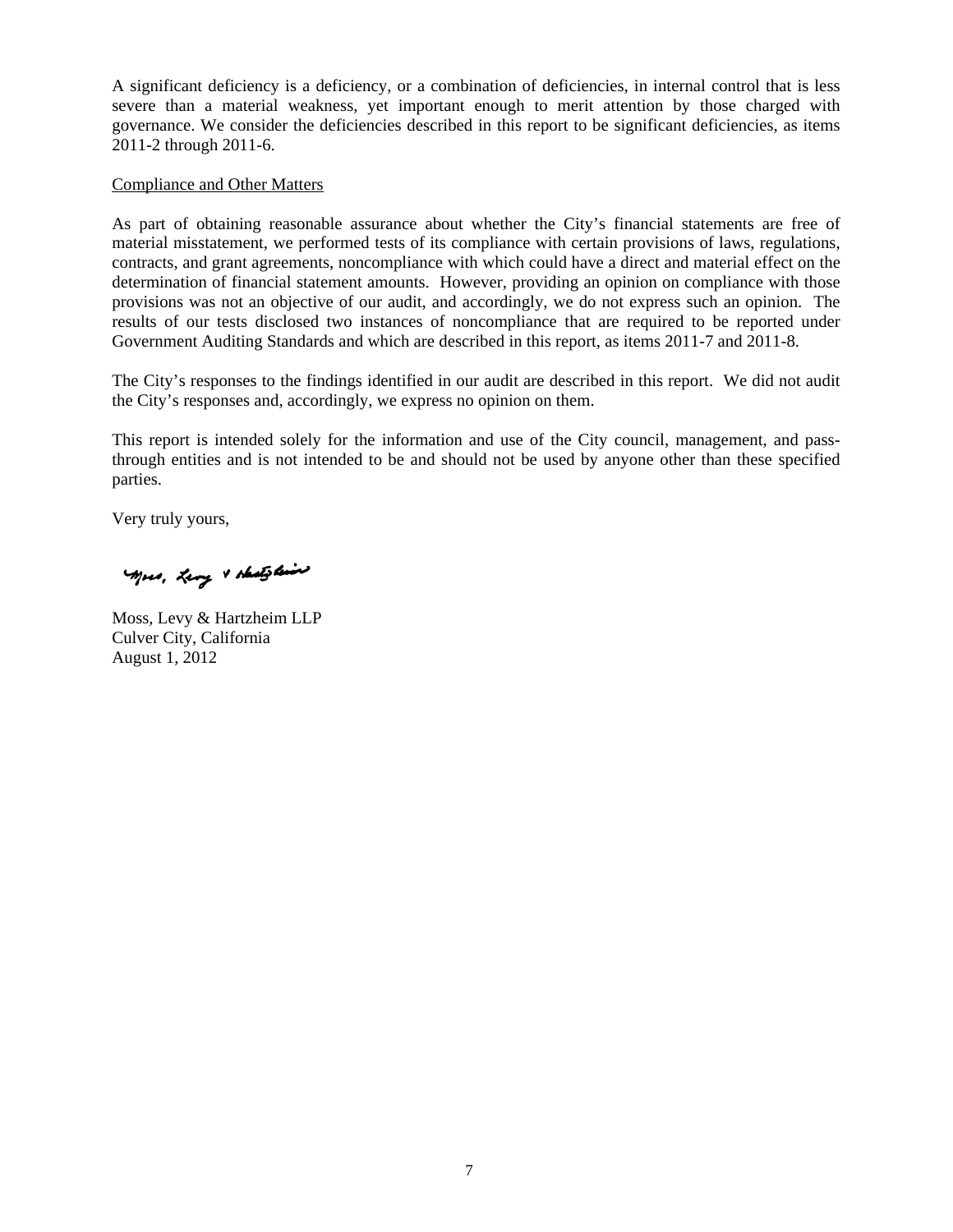A significant deficiency is a deficiency, or a combination of deficiencies, in internal control that is less severe than a material weakness, yet important enough to merit attention by those charged with governance. We consider the deficiencies described in this report to be significant deficiencies, as items 2011-2 through 2011-6.

# Compliance and Other Matters

As part of obtaining reasonable assurance about whether the City's financial statements are free of material misstatement, we performed tests of its compliance with certain provisions of laws, regulations, contracts, and grant agreements, noncompliance with which could have a direct and material effect on the determination of financial statement amounts. However, providing an opinion on compliance with those provisions was not an objective of our audit, and accordingly, we do not express such an opinion. The results of our tests disclosed two instances of noncompliance that are required to be reported under Government Auditing Standards and which are described in this report, as items 2011-7 and 2011-8.

The City's responses to the findings identified in our audit are described in this report. We did not audit the City's responses and, accordingly, we express no opinion on them.

This report is intended solely for the information and use of the City council, management, and passthrough entities and is not intended to be and should not be used by anyone other than these specified parties.

Very truly yours,

Mors, Leong & Nastylain

Moss, Levy & Hartzheim LLP Culver City, California August 1, 2012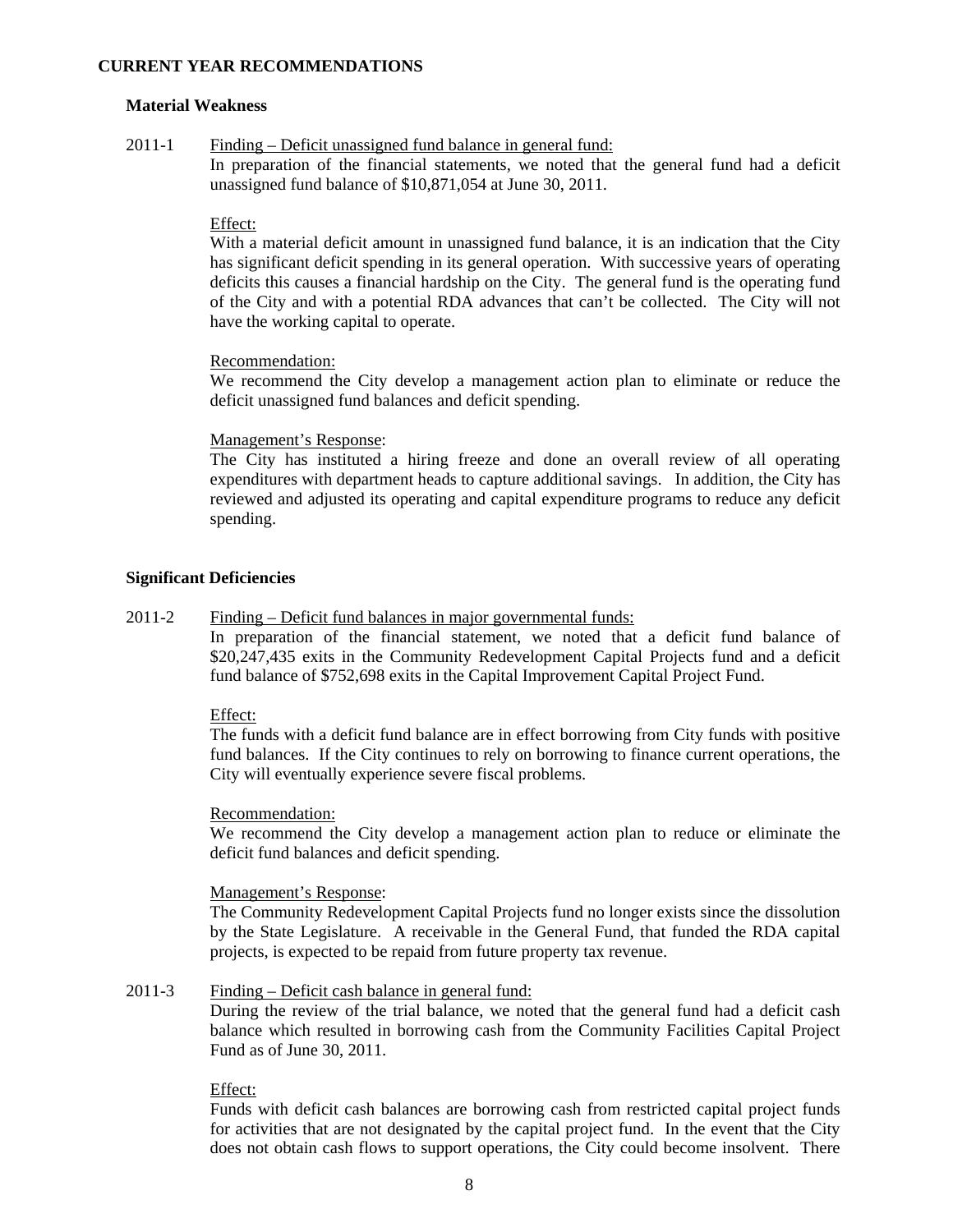### **CURRENT YEAR RECOMMENDATIONS**

### **Material Weakness**

2011-1 Finding – Deficit unassigned fund balance in general fund: In preparation of the financial statements, we noted that the general fund had a deficit unassigned fund balance of \$10,871,054 at June 30, 2011.

### Effect:

With a material deficit amount in unassigned fund balance, it is an indication that the City has significant deficit spending in its general operation. With successive years of operating deficits this causes a financial hardship on the City. The general fund is the operating fund of the City and with a potential RDA advances that can't be collected. The City will not have the working capital to operate.

# Recommendation:

We recommend the City develop a management action plan to eliminate or reduce the deficit unassigned fund balances and deficit spending.

# Management's Response:

The City has instituted a hiring freeze and done an overall review of all operating expenditures with department heads to capture additional savings. In addition, the City has reviewed and adjusted its operating and capital expenditure programs to reduce any deficit spending.

# **Significant Deficiencies**

### 2011-2 Finding – Deficit fund balances in major governmental funds:

 In preparation of the financial statement, we noted that a deficit fund balance of \$20,247,435 exits in the Community Redevelopment Capital Projects fund and a deficit fund balance of \$752,698 exits in the Capital Improvement Capital Project Fund.

# Effect:

The funds with a deficit fund balance are in effect borrowing from City funds with positive fund balances. If the City continues to rely on borrowing to finance current operations, the City will eventually experience severe fiscal problems.

#### Recommendation:

We recommend the City develop a management action plan to reduce or eliminate the deficit fund balances and deficit spending.

#### Management's Response:

The Community Redevelopment Capital Projects fund no longer exists since the dissolution by the State Legislature. A receivable in the General Fund, that funded the RDA capital projects, is expected to be repaid from future property tax revenue.

# 2011-3 Finding – Deficit cash balance in general fund:

 During the review of the trial balance, we noted that the general fund had a deficit cash balance which resulted in borrowing cash from the Community Facilities Capital Project Fund as of June 30, 2011.

#### Effect:

 Funds with deficit cash balances are borrowing cash from restricted capital project funds for activities that are not designated by the capital project fund. In the event that the City does not obtain cash flows to support operations, the City could become insolvent. There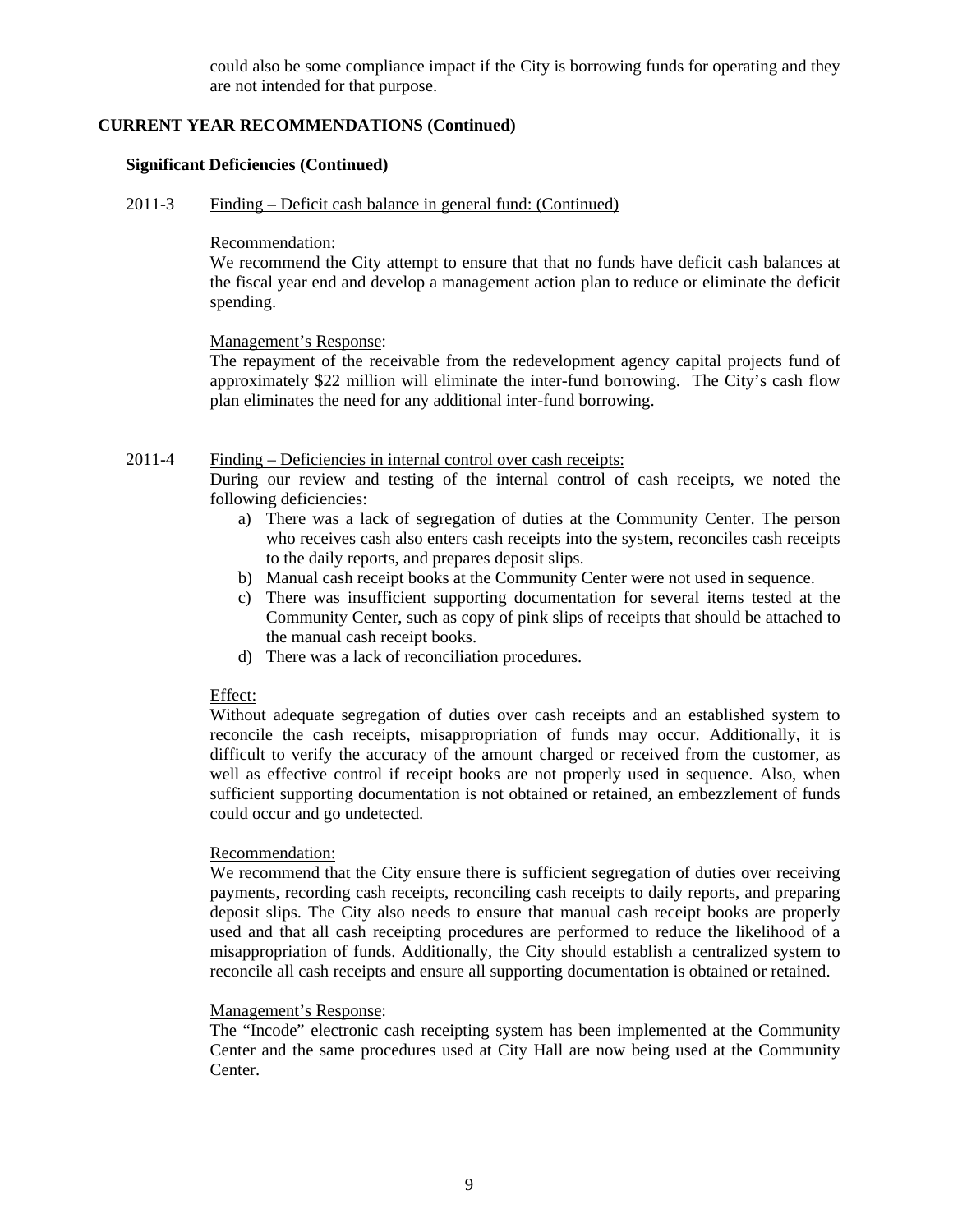could also be some compliance impact if the City is borrowing funds for operating and they are not intended for that purpose.

# **CURRENT YEAR RECOMMENDATIONS (Continued)**

# **Significant Deficiencies (Continued)**

2011-3 Finding – Deficit cash balance in general fund: (Continued)

### Recommendation:

We recommend the City attempt to ensure that that no funds have deficit cash balances at the fiscal year end and develop a management action plan to reduce or eliminate the deficit spending.

# Management's Response:

The repayment of the receivable from the redevelopment agency capital projects fund of approximately \$22 million will eliminate the inter-fund borrowing. The City's cash flow plan eliminates the need for any additional inter-fund borrowing.

# 2011-4 Finding – Deficiencies in internal control over cash receipts:

 During our review and testing of the internal control of cash receipts, we noted the following deficiencies:

- a) There was a lack of segregation of duties at the Community Center. The person who receives cash also enters cash receipts into the system, reconciles cash receipts to the daily reports, and prepares deposit slips.
- b) Manual cash receipt books at the Community Center were not used in sequence.
- c) There was insufficient supporting documentation for several items tested at the Community Center, such as copy of pink slips of receipts that should be attached to the manual cash receipt books.
- d) There was a lack of reconciliation procedures.

# Effect:

Without adequate segregation of duties over cash receipts and an established system to reconcile the cash receipts, misappropriation of funds may occur. Additionally, it is difficult to verify the accuracy of the amount charged or received from the customer, as well as effective control if receipt books are not properly used in sequence. Also, when sufficient supporting documentation is not obtained or retained, an embezzlement of funds could occur and go undetected.

# Recommendation:

We recommend that the City ensure there is sufficient segregation of duties over receiving payments, recording cash receipts, reconciling cash receipts to daily reports, and preparing deposit slips. The City also needs to ensure that manual cash receipt books are properly used and that all cash receipting procedures are performed to reduce the likelihood of a misappropriation of funds. Additionally, the City should establish a centralized system to reconcile all cash receipts and ensure all supporting documentation is obtained or retained.

# Management's Response:

The "Incode" electronic cash receipting system has been implemented at the Community Center and the same procedures used at City Hall are now being used at the Community Center.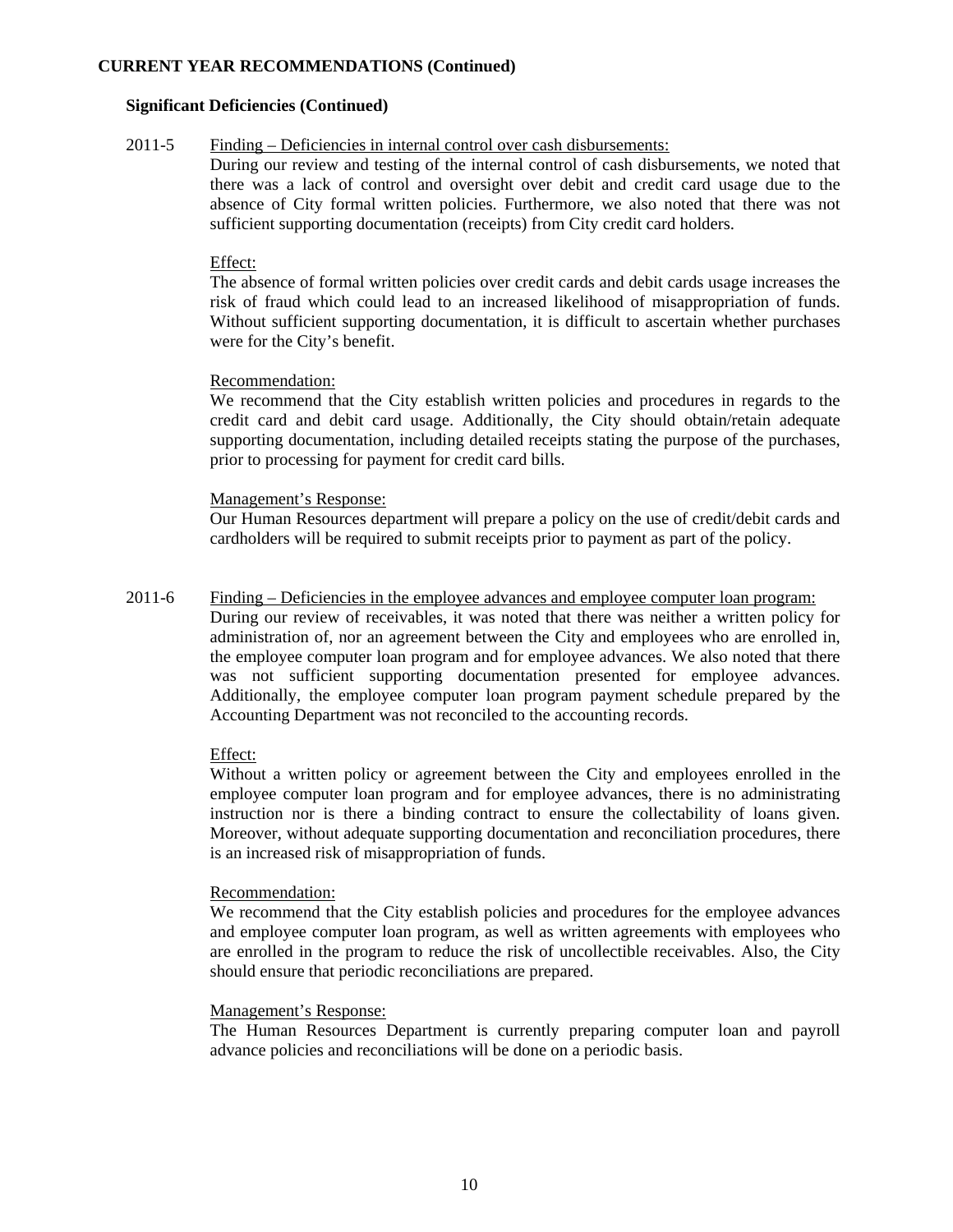# **CURRENT YEAR RECOMMENDATIONS (Continued)**

## **Significant Deficiencies (Continued)**

# 2011-5 Finding – Deficiencies in internal control over cash disbursements:

During our review and testing of the internal control of cash disbursements, we noted that there was a lack of control and oversight over debit and credit card usage due to the absence of City formal written policies. Furthermore, we also noted that there was not sufficient supporting documentation (receipts) from City credit card holders.

# Effect:

The absence of formal written policies over credit cards and debit cards usage increases the risk of fraud which could lead to an increased likelihood of misappropriation of funds. Without sufficient supporting documentation, it is difficult to ascertain whether purchases were for the City's benefit.

# Recommendation:

We recommend that the City establish written policies and procedures in regards to the credit card and debit card usage. Additionally, the City should obtain/retain adequate supporting documentation, including detailed receipts stating the purpose of the purchases, prior to processing for payment for credit card bills.

# Management's Response:

Our Human Resources department will prepare a policy on the use of credit/debit cards and cardholders will be required to submit receipts prior to payment as part of the policy.

# 2011-6 Finding – Deficiencies in the employee advances and employee computer loan program:

During our review of receivables, it was noted that there was neither a written policy for administration of, nor an agreement between the City and employees who are enrolled in, the employee computer loan program and for employee advances. We also noted that there was not sufficient supporting documentation presented for employee advances. Additionally, the employee computer loan program payment schedule prepared by the Accounting Department was not reconciled to the accounting records.

#### Effect:

Without a written policy or agreement between the City and employees enrolled in the employee computer loan program and for employee advances, there is no administrating instruction nor is there a binding contract to ensure the collectability of loans given. Moreover, without adequate supporting documentation and reconciliation procedures, there is an increased risk of misappropriation of funds.

#### Recommendation:

We recommend that the City establish policies and procedures for the employee advances and employee computer loan program, as well as written agreements with employees who are enrolled in the program to reduce the risk of uncollectible receivables. Also, the City should ensure that periodic reconciliations are prepared.

#### Management's Response:

The Human Resources Department is currently preparing computer loan and payroll advance policies and reconciliations will be done on a periodic basis.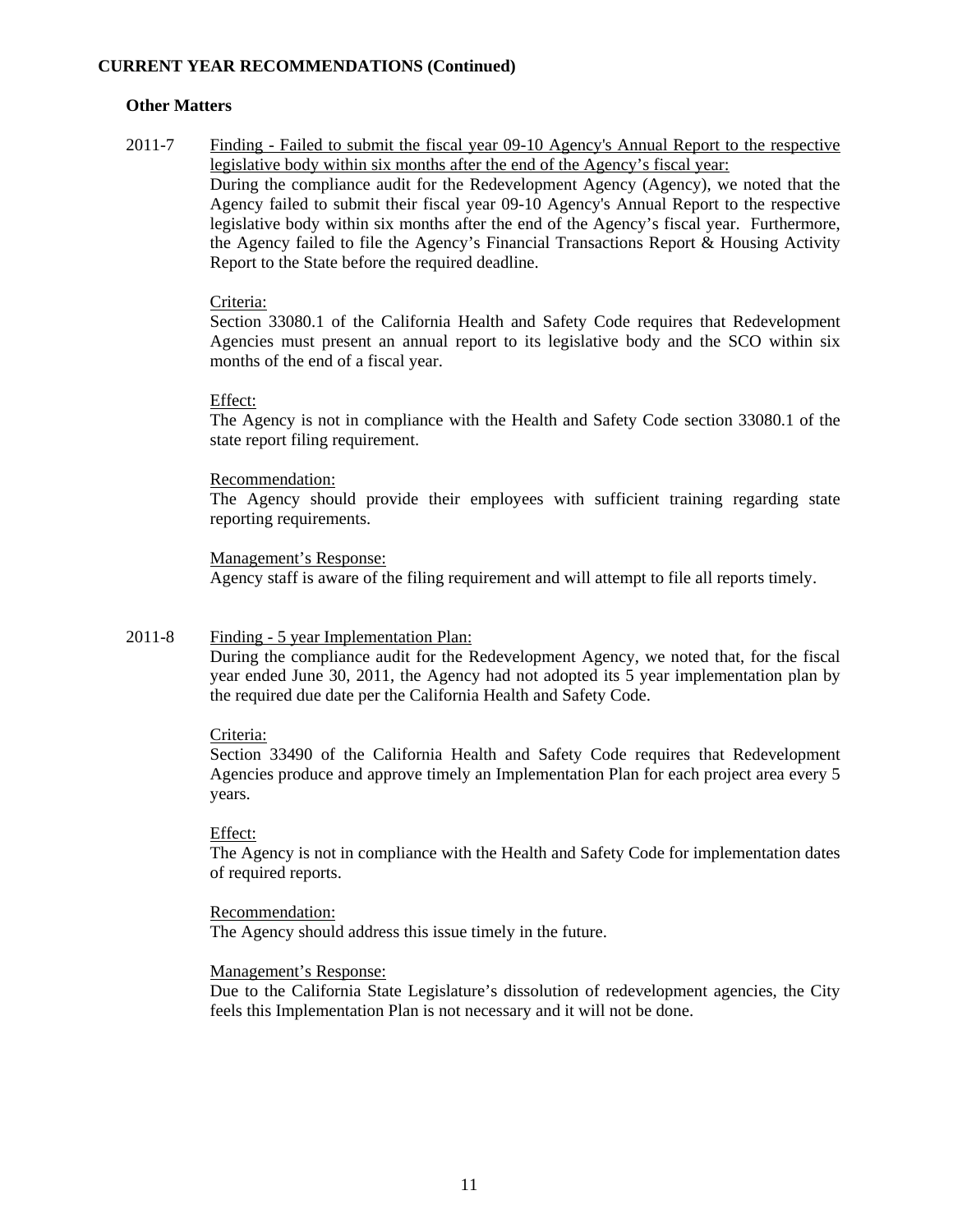# **CURRENT YEAR RECOMMENDATIONS (Continued)**

# **Other Matters**

2011-7 Finding - Failed to submit the fiscal year 09-10 Agency's Annual Report to the respective legislative body within six months after the end of the Agency's fiscal year: During the compliance audit for the Redevelopment Agency (Agency), we noted that the Agency failed to submit their fiscal year 09-10 Agency's Annual Report to the respective legislative body within six months after the end of the Agency's fiscal year. Furthermore, the Agency failed to file the Agency's Financial Transactions Report & Housing Activity Report to the State before the required deadline.

# Criteria:

 Section 33080.1 of the California Health and Safety Code requires that Redevelopment Agencies must present an annual report to its legislative body and the SCO within six months of the end of a fiscal year.

# Effect:

The Agency is not in compliance with the Health and Safety Code section 33080.1 of the state report filing requirement.

# Recommendation:

The Agency should provide their employees with sufficient training regarding state reporting requirements.

# Management's Response:

Agency staff is aware of the filing requirement and will attempt to file all reports timely.

# 2011-8 Finding - 5 year Implementation Plan:

 During the compliance audit for the Redevelopment Agency, we noted that, for the fiscal year ended June 30, 2011, the Agency had not adopted its 5 year implementation plan by the required due date per the California Health and Safety Code.

# Criteria:

 Section 33490 of the California Health and Safety Code requires that Redevelopment Agencies produce and approve timely an Implementation Plan for each project area every 5 years.

#### Effect:

 The Agency is not in compliance with the Health and Safety Code for implementation dates of required reports.

 Recommendation: The Agency should address this issue timely in the future.

#### Management's Response:

Due to the California State Legislature's dissolution of redevelopment agencies, the City feels this Implementation Plan is not necessary and it will not be done.